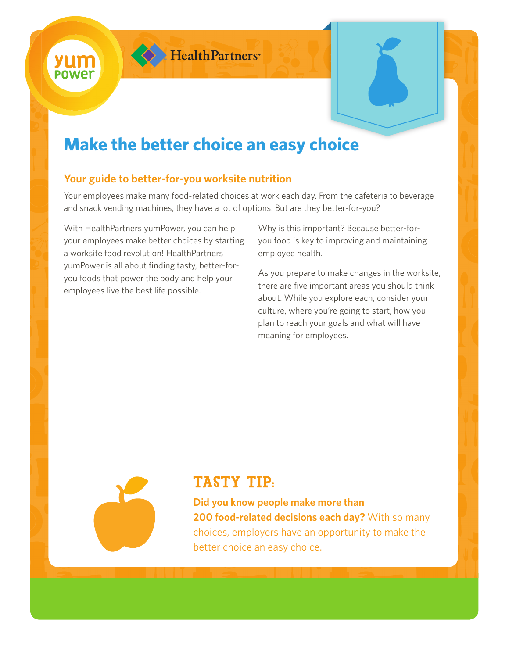

# **Make the better choice an easy choice**

# **Your guide to better-for-you worksite nutrition**

Your employees make many food-related choices at work each day. From the cafeteria to beverage and snack vending machines, they have a lot of options. But are they better-for-you?

With HealthPartners yumPower, you can help your employees make better choices by starting a worksite food revolution! HealthPartners yumPower is all about finding tasty, better-foryou foods that power the body and help your employees live the best life possible.

Why is this important? Because better-foryou food is key to improving and maintaining employee health.

As you prepare to make changes in the worksite, there are five important areas you should think about. While you explore each, consider your culture, where you're going to start, how you plan to reach your goals and what will have meaning for employees.



# TASTY TIP:

**Did you know people make more than 200 food-related decisions each day?** With so many choices, employers have an opportunity to make the better choice an easy choice.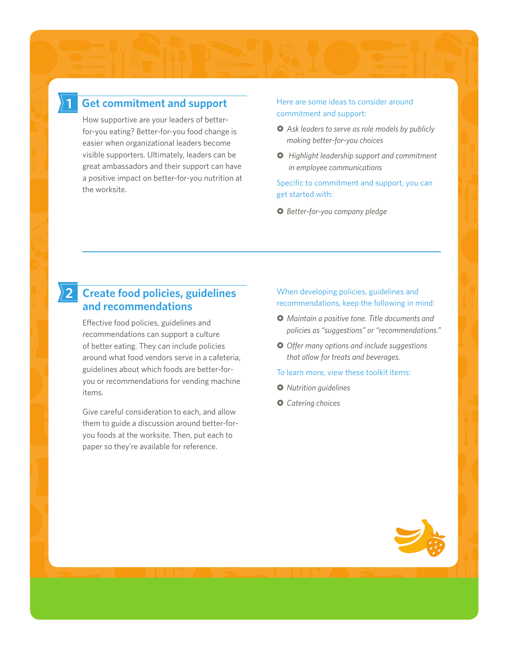## **Get commitment and support**

**1**

How supportive are your leaders of betterfor-you eating? Better-for-you food change is easier when organizational leaders become visible supporters. Ultimately, leaders can be great ambassadors and their support can have a positive impact on better-for-you nutrition at the worksite.

### Here are some ideas to consider around commitment and support:

- *Ask leaders to serve as role models by publicly making better-for-you choices*
- *Highlight leadership support and commitment in employee communications*

## Specific to commitment and support, you can get started with:

*Better-for-you company pledge*

#### **Create food policies, guidelines and recommendations 2**

Effective food policies, guidelines and recommendations can support a culture of better eating. They can include policies around what food vendors serve in a cafeteria, guidelines about which foods are better-foryou or recommendations for vending machine items.

Give careful consideration to each, and allow them to guide a discussion around better-foryou foods at the worksite. Then, put each to paper so they're available for reference.

### When developing policies, guidelines and recommendations, keep the following in mind:

- *Maintain a positive tone. Title documents and policies as "suggestions" or "recommendations."*
- *Offer many options and include suggestions that allow for treats and beverages.*
- To learn more, view these toolkit items:
- *Nutrition guidelines*
- *Catering choices*

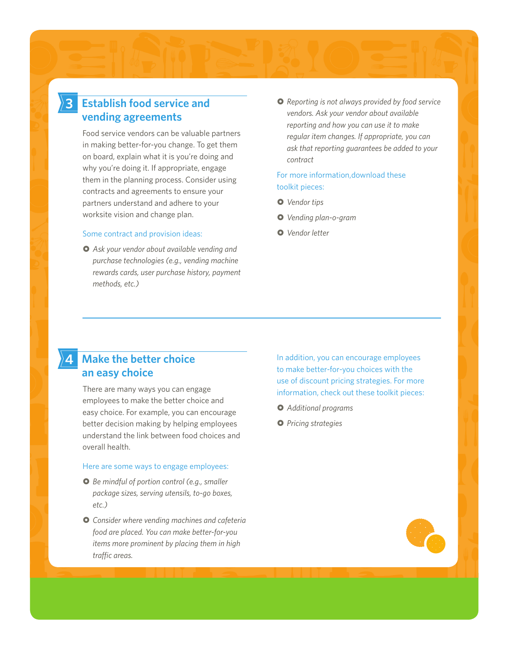#### **Establish food service and vending agreements 3**

Food service vendors can be valuable partners in making better-for-you change. To get them on board, explain what it is you're doing and why you're doing it. If appropriate, engage them in the planning process. Consider using contracts and agreements to ensure your partners understand and adhere to your worksite vision and change plan.

#### Some contract and provision ideas:

 *Ask your vendor about available vending and purchase technologies (e.g., vending machine rewards cards, user purchase history, payment methods, etc.)*

 *Reporting is not always provided by food service vendors. Ask your vendor about available reporting and how you can use it to make regular item changes. If appropriate, you can ask that reporting guarantees be added to your contract*

### For more information,download these toolkit pieces:

- *Vendor tips*
- *Vending plan-o-gram*
- *Vendor letter*

#### **Make the better choice an easy choice 4**

There are many ways you can engage employees to make the better choice and easy choice. For example, you can encourage better decision making by helping employees understand the link between food choices and overall health.

#### Here are some ways to engage employees:

- *Be mindful of portion control (e.g., smaller package sizes, serving utensils, to-go boxes, etc.)*
- *Consider where vending machines and cafeteria food are placed. You can make better-for-you items more prominent by placing them in high traffic areas.*

In addition, you can encourage employees to make better-for-you choices with the use of discount pricing strategies. For more information, check out these toolkit pieces:

- *Additional programs*
- *Pricing strategies*